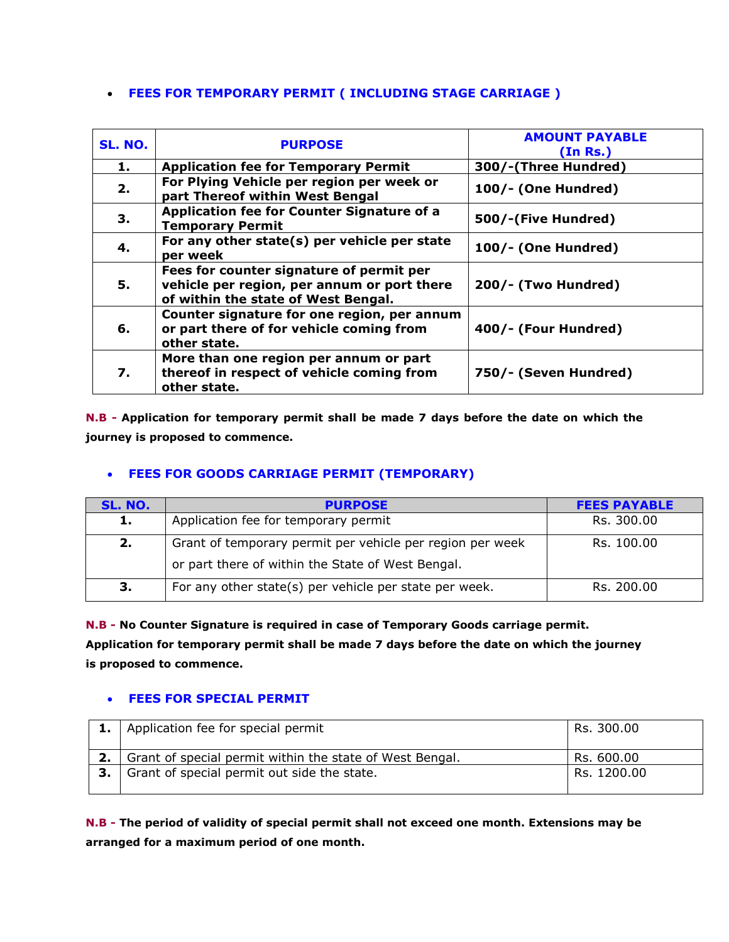### **FEES FOR TEMPORARY PERMIT ( INCLUDING STAGE CARRIAGE )**

| <b>SL. NO.</b> | <b>PURPOSE</b>                                                                                                                 | <b>AMOUNT PAYABLE</b><br>(In Rs.) |
|----------------|--------------------------------------------------------------------------------------------------------------------------------|-----------------------------------|
| 1.             | <b>Application fee for Temporary Permit</b>                                                                                    | 300/-(Three Hundred)              |
| 2.             | For Plying Vehicle per region per week or<br>part Thereof within West Bengal                                                   | 100/- (One Hundred)               |
| З.             | Application fee for Counter Signature of a<br><b>Temporary Permit</b>                                                          | 500/-(Five Hundred)               |
| 4.             | For any other state(s) per vehicle per state<br>per week                                                                       | 100/- (One Hundred)               |
| 5.             | Fees for counter signature of permit per<br>vehicle per region, per annum or port there<br>of within the state of West Bengal. | 200/- (Two Hundred)               |
| 6.             | Counter signature for one region, per annum<br>or part there of for vehicle coming from<br>other state.                        | 400/- (Four Hundred)              |
| 7.             | More than one region per annum or part<br>thereof in respect of vehicle coming from<br>other state.                            | 750/- (Seven Hundred)             |

**N.B - Application for temporary permit shall be made 7 days before the date on which the journey is proposed to commence.** 

# **FEES FOR GOODS CARRIAGE PERMIT (TEMPORARY)**

| SL. NO. | <b>PURPOSE</b>                                            | <b>FEES PAYABLE</b> |
|---------|-----------------------------------------------------------|---------------------|
| 1.      | Application fee for temporary permit                      | Rs. 300.00          |
| 2.      | Grant of temporary permit per vehicle per region per week | Rs. 100.00          |
|         | or part there of within the State of West Bengal.         |                     |
| З.      | For any other state(s) per vehicle per state per week.    | Rs. 200.00          |

**N.B - No Counter Signature is required in case of Temporary Goods carriage permit.**

**Application for temporary permit shall be made 7 days before the date on which the journey is proposed to commence.** 

### **FEES FOR SPECIAL PERMIT**

|      | Application fee for special permit                       | Rs. 300.00  |
|------|----------------------------------------------------------|-------------|
|      | Grant of special permit within the state of West Bengal. | Rs. 600.00  |
| 3. I | Grant of special permit out side the state.              | Rs. 1200.00 |
|      |                                                          |             |

**N.B - The period of validity of special permit shall not exceed one month. Extensions may be arranged for a maximum period of one month.**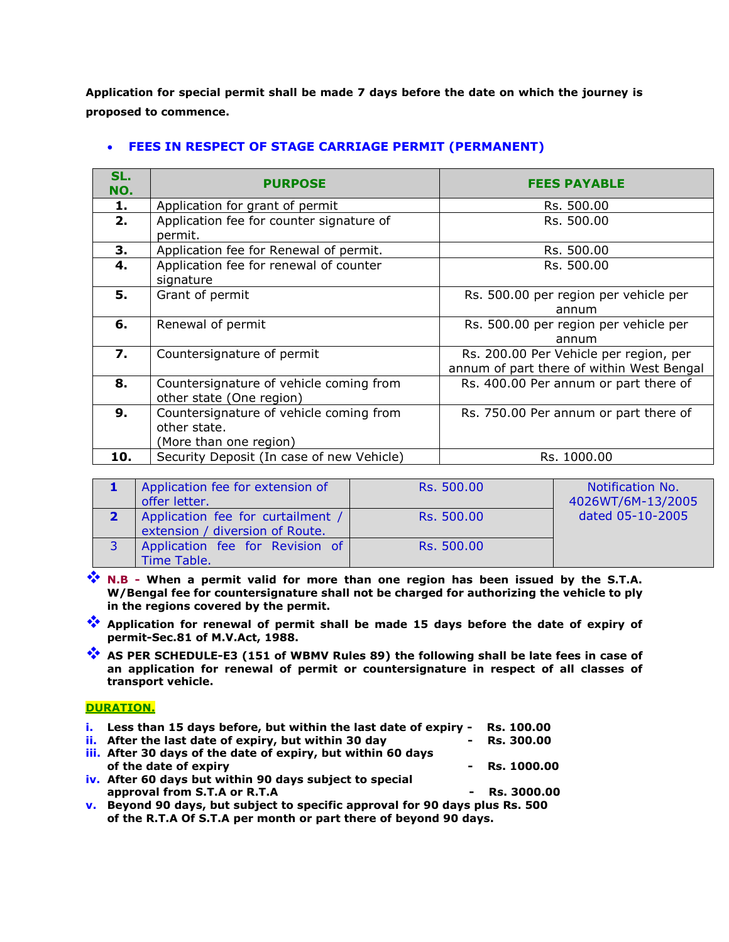**Application for special permit shall be made 7 days before the date on which the journey is proposed to commence.** 

| SL.<br>NO. | <b>PURPOSE</b>                                                                    | <b>FEES PAYABLE</b>                                                                 |
|------------|-----------------------------------------------------------------------------------|-------------------------------------------------------------------------------------|
| 1.         | Application for grant of permit                                                   | Rs. 500.00                                                                          |
| 2.         | Application fee for counter signature of<br>permit.                               | Rs. 500.00                                                                          |
| 3.         | Application fee for Renewal of permit.                                            | Rs. 500.00                                                                          |
| 4.         | Application fee for renewal of counter<br>signature                               | Rs. 500.00                                                                          |
| 5.         | Grant of permit                                                                   | Rs. 500.00 per region per vehicle per<br>annum                                      |
| 6.         | Renewal of permit                                                                 | Rs. 500.00 per region per vehicle per<br>annum                                      |
| 7.         | Countersignature of permit                                                        | Rs. 200.00 Per Vehicle per region, per<br>annum of part there of within West Bengal |
| 8.         | Countersignature of vehicle coming from<br>other state (One region)               | Rs. 400.00 Per annum or part there of                                               |
| 9.         | Countersignature of vehicle coming from<br>other state.<br>(More than one region) | Rs. 750.00 Per annum or part there of                                               |
| 10.        | Security Deposit (In case of new Vehicle)                                         | Rs. 1000.00                                                                         |

### **FEES IN RESPECT OF STAGE CARRIAGE PERMIT (PERMANENT)**

| Application fee for extension of<br>offer letter.                    | Rs. 500.00 | Notification No.<br>4026WT/6M-13/2005 |
|----------------------------------------------------------------------|------------|---------------------------------------|
| Application fee for curtailment /<br>extension / diversion of Route. | Rs. 500.00 | dated 05-10-2005                      |
| Application fee for Revision of<br>Time Table.                       | Rs. 500.00 |                                       |

- **<sup>•</sup> N.B When a permit valid for more than one region has been issued by the S.T.A. W/Bengal fee for countersignature shall not be charged for authorizing the vehicle to ply in the regions covered by the permit.**
- **Application for renewal of permit shall be made 15 days before the date of expiry of permit-Sec.81 of M.V.Act, 1988.**
- **AS PER SCHEDULE-E3 (151 of WBMV Rules 89) the following shall be late fees in case of an application for renewal of permit or countersignature in respect of all classes of transport vehicle.**

#### **DURATION.**

| i. Less than 15 days before, but within the last date of expiry - | Rs. 100.00        |
|-------------------------------------------------------------------|-------------------|
| ii. After the last date of expiry, but within 30 day              | <b>Rs. 300.00</b> |
| iii. After 30 days of the date of expiry, but within 60 days      |                   |
| of the date of expiry                                             | $-$ Rs. 1000.00   |
| iv. After 60 days but within 90 days subject to special           |                   |
| approval from S.T.A or R.T.A                                      | $-$ Rs. 3000.00   |
|                                                                   |                   |

**v. Beyond 90 days, but subject to specific approval for 90 days plus Rs. 500 of the R.T.A Of S.T.A per month or part there of beyond 90 days.**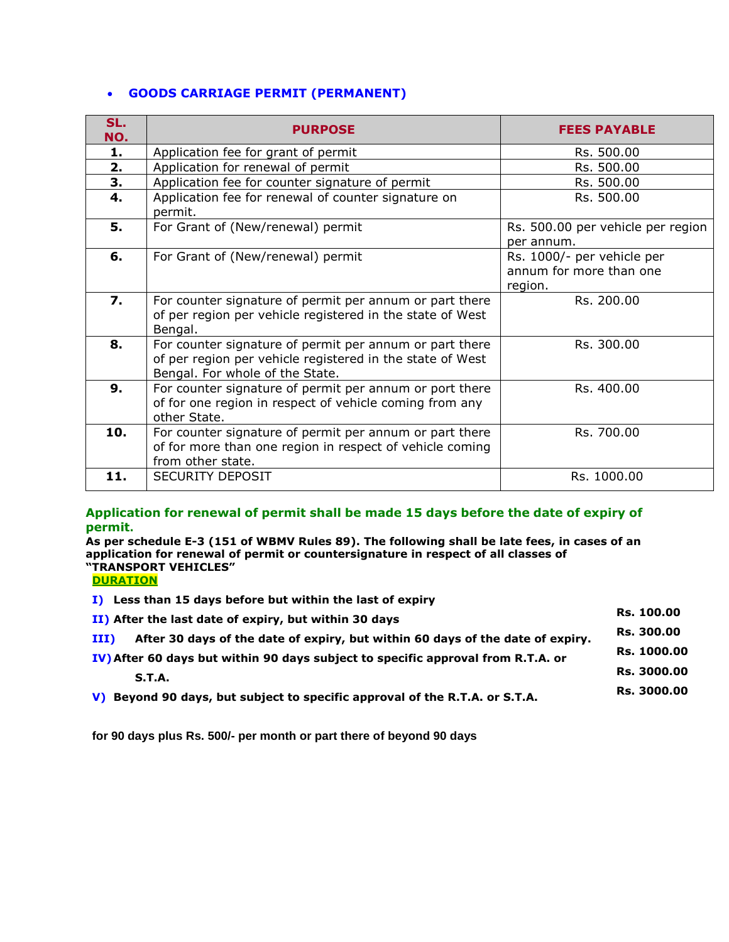### **GOODS CARRIAGE PERMIT (PERMANENT)**

| SL.<br>NO. | <b>PURPOSE</b>                                                                                                                                          | <b>FEES PAYABLE</b>                                              |
|------------|---------------------------------------------------------------------------------------------------------------------------------------------------------|------------------------------------------------------------------|
| 1.         | Application fee for grant of permit                                                                                                                     | Rs. 500.00                                                       |
| 2.         | Application for renewal of permit                                                                                                                       | Rs. 500.00                                                       |
| 3.         | Application fee for counter signature of permit                                                                                                         | Rs. 500.00                                                       |
| 4.         | Application fee for renewal of counter signature on<br>permit.                                                                                          | Rs. 500.00                                                       |
| 5.         | For Grant of (New/renewal) permit                                                                                                                       | Rs. 500.00 per vehicle per region<br>per annum.                  |
| 6.         | For Grant of (New/renewal) permit                                                                                                                       | Rs. 1000/- per vehicle per<br>annum for more than one<br>region. |
| 7.         | For counter signature of permit per annum or part there<br>of per region per vehicle registered in the state of West<br>Bengal.                         | Rs. 200.00                                                       |
| 8.         | For counter signature of permit per annum or part there<br>of per region per vehicle registered in the state of West<br>Bengal. For whole of the State. | Rs. 300.00                                                       |
| 9.         | For counter signature of permit per annum or port there<br>of for one region in respect of vehicle coming from any<br>other State.                      | Rs. 400.00                                                       |
| 10.        | For counter signature of permit per annum or part there<br>of for more than one region in respect of vehicle coming<br>from other state.                | Rs. 700.00                                                       |
| 11.        | <b>SECURITY DEPOSIT</b>                                                                                                                                 | Rs. 1000.00                                                      |

#### **Application for renewal of permit shall be made 15 days before the date of expiry of permit.**

**As per schedule E-3 (151 of WBMV Rules 89). The following shall be late fees, in cases of an application for renewal of permit or countersignature in respect of all classes of "TRANSPORT VEHICLES"**

**DURATION**

**I) Less than 15 days before but within the last of expiry**

| II) After the last date of expiry, but within 30 days                                                                                                                                   | <b>Rs. 100.00</b> |                                                                             |             |
|-----------------------------------------------------------------------------------------------------------------------------------------------------------------------------------------|-------------------|-----------------------------------------------------------------------------|-------------|
| After 30 days of the date of expiry, but within 60 days of the date of expiry.<br>$III$ )<br>IV) After 60 days but within 90 days subject to specific approval from R.T.A. or<br>S.T.A. |                   |                                                                             |             |
|                                                                                                                                                                                         |                   | V) Beyond 90 days, but subject to specific approval of the R.T.A. or S.T.A. | Rs. 3000.00 |

**for 90 days plus Rs. 500/- per month or part there of beyond 90 days**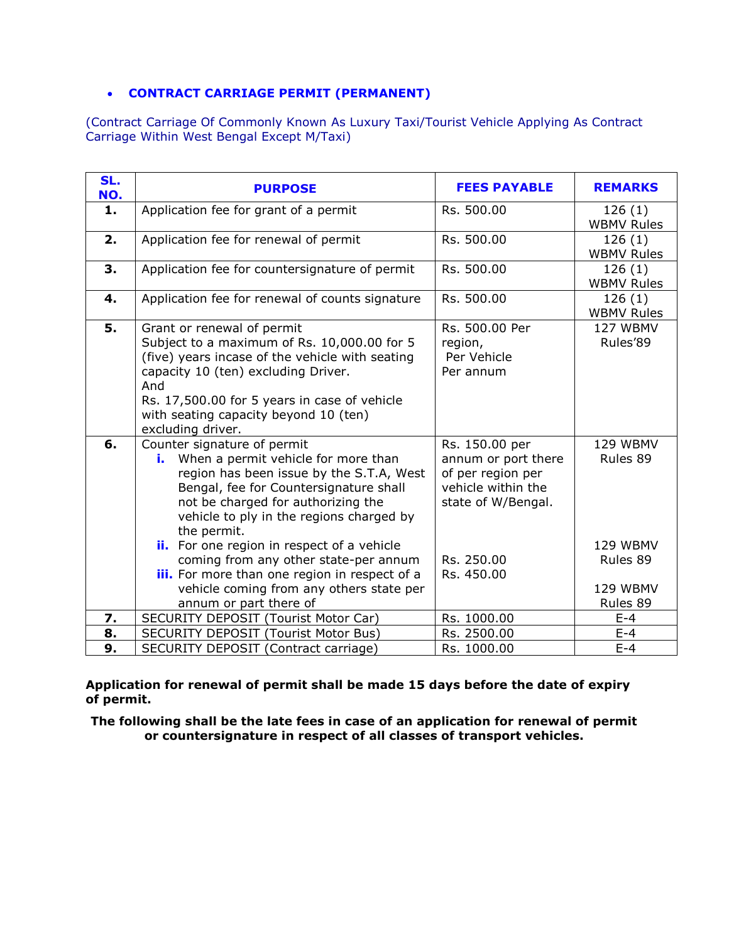### **CONTRACT CARRIAGE PERMIT (PERMANENT)**

(Contract Carriage Of Commonly Known As Luxury Taxi/Tourist Vehicle Applying As Contract Carriage Within West Bengal Except M/Taxi)

| SL.<br>NO. | <b>PURPOSE</b>                                                                                                                                                                                                                                                                                             | <b>FEES PAYABLE</b>                                                                                    | <b>REMARKS</b>                   |
|------------|------------------------------------------------------------------------------------------------------------------------------------------------------------------------------------------------------------------------------------------------------------------------------------------------------------|--------------------------------------------------------------------------------------------------------|----------------------------------|
| 1.         | Application fee for grant of a permit                                                                                                                                                                                                                                                                      | Rs. 500.00                                                                                             | 126(1)<br><b>WBMV Rules</b>      |
| 2.         | Application fee for renewal of permit                                                                                                                                                                                                                                                                      | Rs. 500.00                                                                                             | 126(1)<br><b>WBMV Rules</b>      |
| 3.         | Application fee for countersignature of permit                                                                                                                                                                                                                                                             | Rs. 500.00                                                                                             | 126(1)<br><b>WBMV Rules</b>      |
| 4.         | Application fee for renewal of counts signature                                                                                                                                                                                                                                                            | Rs. 500.00                                                                                             | 126(1)<br><b>WBMV Rules</b>      |
| 5.         | Grant or renewal of permit<br>Subject to a maximum of Rs. 10,000.00 for 5<br>(five) years incase of the vehicle with seating<br>capacity 10 (ten) excluding Driver.<br>And<br>Rs. 17,500.00 for 5 years in case of vehicle<br>with seating capacity beyond 10 (ten)<br>excluding driver.                   | Rs. 500.00 Per<br>region,<br>Per Vehicle<br>Per annum                                                  | 127 WBMV<br>Rules'89             |
| 6.         | Counter signature of permit<br>i. When a permit vehicle for more than<br>region has been issue by the S.T.A, West<br>Bengal, fee for Countersignature shall<br>not be charged for authorizing the<br>vehicle to ply in the regions charged by<br>the permit.<br>ii. For one region in respect of a vehicle | Rs. 150.00 per<br>annum or port there<br>of per region per<br>vehicle within the<br>state of W/Bengal. | 129 WBMV<br>Rules 89<br>129 WBMV |
|            | coming from any other state-per annum<br>iii. For more than one region in respect of a                                                                                                                                                                                                                     | Rs. 250.00<br>Rs. 450.00                                                                               | Rules 89                         |
|            | vehicle coming from any others state per<br>annum or part there of                                                                                                                                                                                                                                         |                                                                                                        | 129 WBMV<br>Rules 89             |
| 7.         | <b>SECURITY DEPOSIT (Tourist Motor Car)</b>                                                                                                                                                                                                                                                                | Rs. 1000.00                                                                                            | $E-4$                            |
| 8.         | <b>SECURITY DEPOSIT (Tourist Motor Bus)</b>                                                                                                                                                                                                                                                                | Rs. 2500.00                                                                                            | $E-4$                            |
| 9.         | SECURITY DEPOSIT (Contract carriage)                                                                                                                                                                                                                                                                       | Rs. 1000.00                                                                                            | $E-4$                            |

**Application for renewal of permit shall be made 15 days before the date of expiry of permit.**

**The following shall be the late fees in case of an application for renewal of permit or countersignature in respect of all classes of transport vehicles.**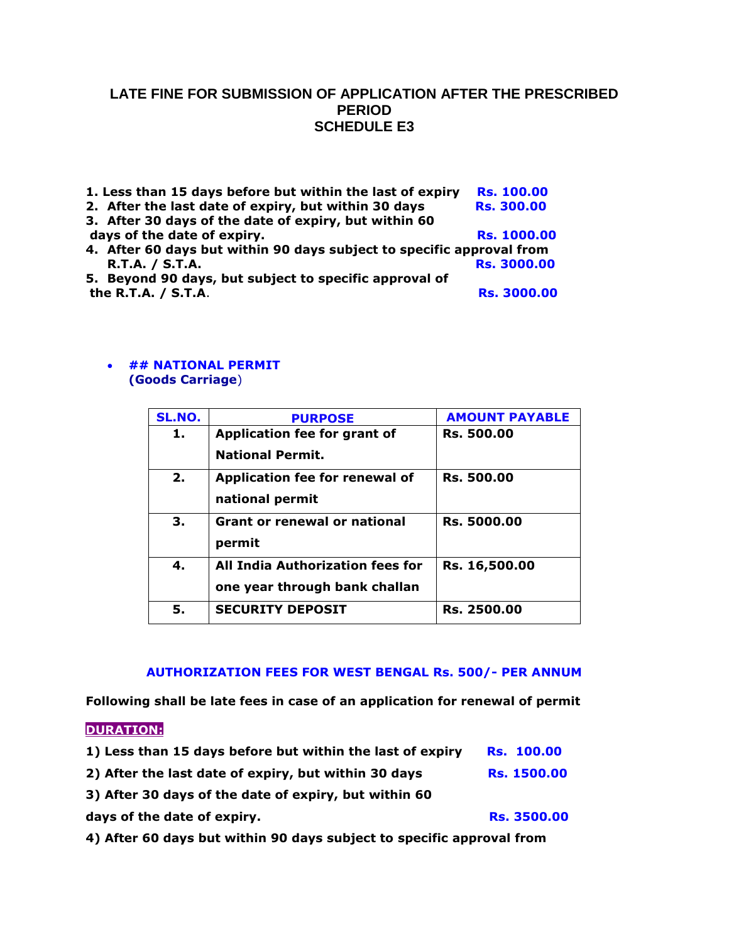## **LATE FINE FOR SUBMISSION OF APPLICATION AFTER THE PRESCRIBED PERIOD SCHEDULE E3**

| 1. Less than 15 days before but within the last of expiry             | <b>Rs. 100.00</b>  |
|-----------------------------------------------------------------------|--------------------|
| 2. After the last date of expiry, but within 30 days                  | <b>Rs. 300.00</b>  |
| 3. After 30 days of the date of expiry, but within 60                 |                    |
| days of the date of expiry.                                           | <b>Rs. 1000.00</b> |
| 4. After 60 days but within 90 days subject to specific approval from |                    |
| <b>R.T.A. / S.T.A.</b>                                                | <b>Rs. 3000.00</b> |
| 5. Beyond 90 days, but subject to specific approval of                |                    |
| the R.T.A. / S.T.A.                                                   | <b>Rs. 3000.00</b> |

#### **## NATIONAL PERMIT (Goods Carriage**)

| SL.NO. | <b>PURPOSE</b>                                                    | <b>AMOUNT PAYABLE</b> |
|--------|-------------------------------------------------------------------|-----------------------|
| 1.     | Application fee for grant of<br><b>National Permit.</b>           | <b>Rs. 500.00</b>     |
| 2.     | Application fee for renewal of<br>national permit                 | <b>Rs. 500.00</b>     |
| 3.     | <b>Grant or renewal or national</b><br>permit                     | <b>Rs. 5000.00</b>    |
| 4.     | All India Authorization fees for<br>one year through bank challan | Rs. 16,500.00         |
| 5.     | <b>SECURITY DEPOSIT</b>                                           | Rs. 2500.00           |

#### **AUTHORIZATION FEES FOR WEST BENGAL Rs. 500/- PER ANNUM**

**Following shall be late fees in case of an application for renewal of permit**

### **DURATION:**

| 1) Less than 15 days before but within the last of expiry | <b>Rs. 100.00</b>  |
|-----------------------------------------------------------|--------------------|
| 2) After the last date of expiry, but within 30 days      | <b>Rs. 1500.00</b> |
| 3) After 30 days of the date of expiry, but within 60     |                    |
| days of the date of expiry.                               | <b>Rs. 3500.00</b> |

**4) After 60 days but within 90 days subject to specific approval from**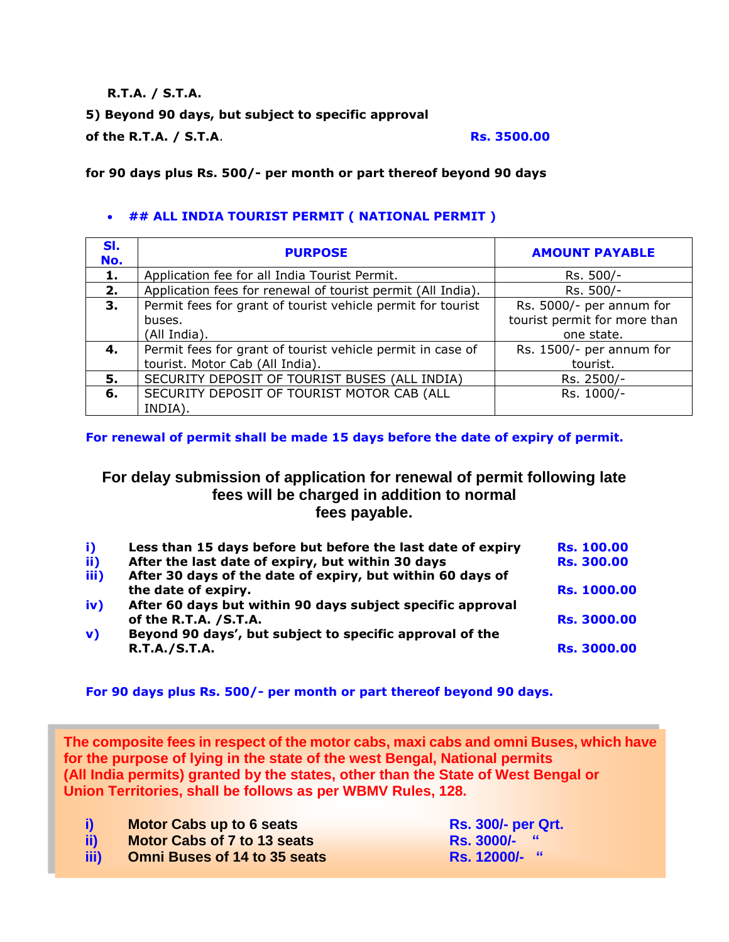### **R.T.A. / S.T.A.**

## **5) Beyond 90 days, but subject to specific approval**

**of the R.T.A. / S.T.A. Rs. 3500.00** 

### **for 90 days plus Rs. 500/- per month or part thereof beyond 90 days**

## **## ALL INDIA TOURIST PERMIT ( NATIONAL PERMIT )**

| SI.<br>No. | <b>PURPOSE</b>                                              | <b>AMOUNT PAYABLE</b>        |
|------------|-------------------------------------------------------------|------------------------------|
| 1.         | Application fee for all India Tourist Permit.               | Rs. 500/-                    |
| 2.         | Application fees for renewal of tourist permit (All India). | Rs. 500/-                    |
| 3.         | Permit fees for grant of tourist vehicle permit for tourist | Rs. 5000/- per annum for     |
|            | buses.                                                      | tourist permit for more than |
|            | (All India).                                                | one state.                   |
| 4.         | Permit fees for grant of tourist vehicle permit in case of  | Rs. 1500/- per annum for     |
|            | tourist. Motor Cab (All India).                             | tourist.                     |
| 5.         | SECURITY DEPOSIT OF TOURIST BUSES (ALL INDIA)               | Rs. 2500/-                   |
| 6.         | SECURITY DEPOSIT OF TOURIST MOTOR CAB (ALL                  | Rs. 1000/-                   |
|            | INDIA).                                                     |                              |

**For renewal of permit shall be made 15 days before the date of expiry of permit.**

# **For delay submission of application for renewal of permit following late fees will be charged in addition to normal fees payable.**

| i)           | Less than 15 days before but before the last date of expiry | <b>Rs. 100.00</b>  |
|--------------|-------------------------------------------------------------|--------------------|
| ii)          | After the last date of expiry, but within 30 days           | <b>Rs. 300.00</b>  |
| iii)         | After 30 days of the date of expiry, but within 60 days of  |                    |
|              | the date of expiry.                                         | <b>Rs. 1000.00</b> |
| iv)          | After 60 days but within 90 days subject specific approval  |                    |
|              | of the R.T.A. / S.T.A.                                      | <b>Rs. 3000.00</b> |
| $\mathbf{v}$ | Beyond 90 days', but subject to specific approval of the    |                    |
|              | <b>R.T.A./S.T.A.</b>                                        | <b>Rs. 3000.00</b> |
|              |                                                             |                    |

**For 90 days plus Rs. 500/- per month or part thereof beyond 90 days.** 

**The composite fees in respect of the motor cabs, maxi cabs and omni Buses, which have for the purpose of lying in the state of the west Bengal, National permits (All India permits) granted by the states, other than the State of West Bengal or Union Territories, shall be follows as per WBMV Rules, 128.** 

| <b>i</b> ) |  | <b>Motor Cabs up to 6 seats</b> |  |
|------------|--|---------------------------------|--|
| .          |  |                                 |  |

- **ii) Motor Cabs of 7 to 13 seats RS. 3000/-** "
- **iii) Omni Buses of 14 to 35 seats Rs. 12000/-** "

**iRs. 300/-** per Qrt.